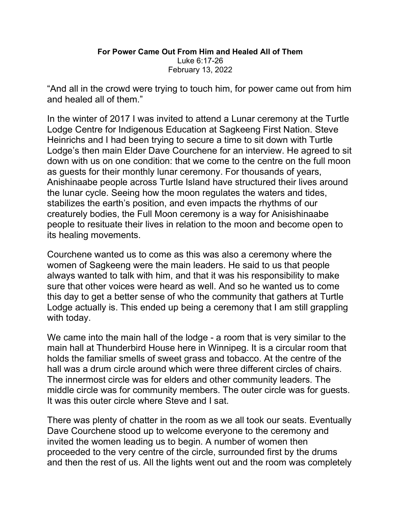## For Power Came Out From Him and Healed All of Them Luke 6:17-26 February 13, 2022

"And all in the crowd were trying to touch him, for power came out from him and healed all of them."

In the winter of 2017 I was invited to attend a Lunar ceremony at the Turtle Lodge Centre for Indigenous Education at Sagkeeng First Nation. Steve Heinrichs and I had been trying to secure a time to sit down with Turtle Lodge's then main Elder Dave Courchene for an interview. He agreed to sit down with us on one condition: that we come to the centre on the full moon as guests for their monthly lunar ceremony. For thousands of years, Anishinaabe people across Turtle Island have structured their lives around the lunar cycle. Seeing how the moon regulates the waters and tides, stabilizes the earth's position, and even impacts the rhythms of our creaturely bodies, the Full Moon ceremony is a way for Anisishinaabe people to resituate their lives in relation to the moon and become open to its healing movements.

Courchene wanted us to come as this was also a ceremony where the women of Sagkeeng were the main leaders. He said to us that people always wanted to talk with him, and that it was his responsibility to make sure that other voices were heard as well. And so he wanted us to come this day to get a better sense of who the community that gathers at Turtle Lodge actually is. This ended up being a ceremony that I am still grappling with today.

We came into the main hall of the lodge - a room that is very similar to the main hall at Thunderbird House here in Winnipeg. It is a circular room that holds the familiar smells of sweet grass and tobacco. At the centre of the hall was a drum circle around which were three different circles of chairs. The innermost circle was for elders and other community leaders. The middle circle was for community members. The outer circle was for guests. It was this outer circle where Steve and I sat.

There was plenty of chatter in the room as we all took our seats. Eventually Dave Courchene stood up to welcome everyone to the ceremony and invited the women leading us to begin. A number of women then proceeded to the very centre of the circle, surrounded first by the drums and then the rest of us. All the lights went out and the room was completely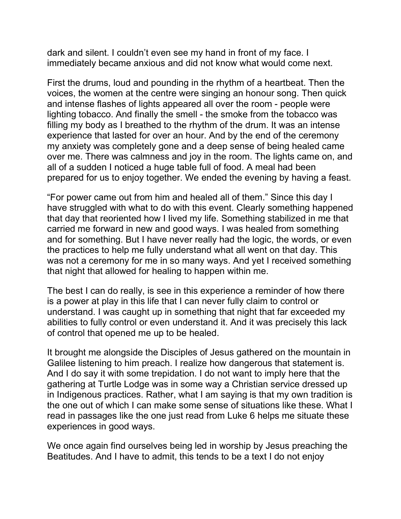dark and silent. I couldn't even see my hand in front of my face. I immediately became anxious and did not know what would come next.

First the drums, loud and pounding in the rhythm of a heartbeat. Then the voices, the women at the centre were singing an honour song. Then quick and intense flashes of lights appeared all over the room - people were lighting tobacco. And finally the smell - the smoke from the tobacco was filling my body as I breathed to the rhythm of the drum. It was an intense experience that lasted for over an hour. And by the end of the ceremony my anxiety was completely gone and a deep sense of being healed came over me. There was calmness and joy in the room. The lights came on, and all of a sudden I noticed a huge table full of food. A meal had been prepared for us to enjoy together. We ended the evening by having a feast.

"For power came out from him and healed all of them." Since this day I have struggled with what to do with this event. Clearly something happened that day that reoriented how I lived my life. Something stabilized in me that carried me forward in new and good ways. I was healed from something and for something. But I have never really had the logic, the words, or even the practices to help me fully understand what all went on that day. This was not a ceremony for me in so many ways. And yet I received something that night that allowed for healing to happen within me.

The best I can do really, is see in this experience a reminder of how there is a power at play in this life that I can never fully claim to control or understand. I was caught up in something that night that far exceeded my abilities to fully control or even understand it. And it was precisely this lack of control that opened me up to be healed.

It brought me alongside the Disciples of Jesus gathered on the mountain in Galilee listening to him preach. I realize how dangerous that statement is. And I do say it with some trepidation. I do not want to imply here that the gathering at Turtle Lodge was in some way a Christian service dressed up in Indigenous practices. Rather, what I am saying is that my own tradition is the one out of which I can make some sense of situations like these. What I read in passages like the one just read from Luke 6 helps me situate these experiences in good ways.

We once again find ourselves being led in worship by Jesus preaching the Beatitudes. And I have to admit, this tends to be a text I do not enjoy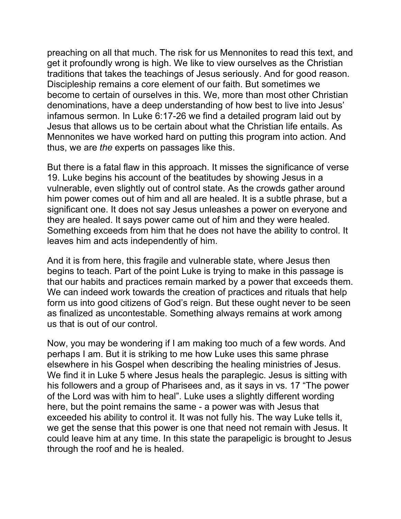preaching on all that much. The risk for us Mennonites to read this text, and get it profoundly wrong is high. We like to view ourselves as the Christian traditions that takes the teachings of Jesus seriously. And for good reason. Discipleship remains a core element of our faith. But sometimes we become to certain of ourselves in this. We, more than most other Christian denominations, have a deep understanding of how best to live into Jesus' infamous sermon. In Luke 6:17-26 we find a detailed program laid out by Jesus that allows us to be certain about what the Christian life entails. As Mennonites we have worked hard on putting this program into action. And thus, we are the experts on passages like this.

But there is a fatal flaw in this approach. It misses the significance of verse 19. Luke begins his account of the beatitudes by showing Jesus in a vulnerable, even slightly out of control state. As the crowds gather around him power comes out of him and all are healed. It is a subtle phrase, but a significant one. It does not say Jesus unleashes a power on everyone and they are healed. It says power came out of him and they were healed. Something exceeds from him that he does not have the ability to control. It leaves him and acts independently of him.

And it is from here, this fragile and vulnerable state, where Jesus then begins to teach. Part of the point Luke is trying to make in this passage is that our habits and practices remain marked by a power that exceeds them. We can indeed work towards the creation of practices and rituals that help form us into good citizens of God's reign. But these ought never to be seen as finalized as uncontestable. Something always remains at work among us that is out of our control.

Now, you may be wondering if I am making too much of a few words. And perhaps I am. But it is striking to me how Luke uses this same phrase elsewhere in his Gospel when describing the healing ministries of Jesus. We find it in Luke 5 where Jesus heals the paraplegic. Jesus is sitting with his followers and a group of Pharisees and, as it says in vs. 17 "The power of the Lord was with him to heal". Luke uses a slightly different wording here, but the point remains the same - a power was with Jesus that exceeded his ability to control it. It was not fully his. The way Luke tells it, we get the sense that this power is one that need not remain with Jesus. It could leave him at any time. In this state the parapeligic is brought to Jesus through the roof and he is healed.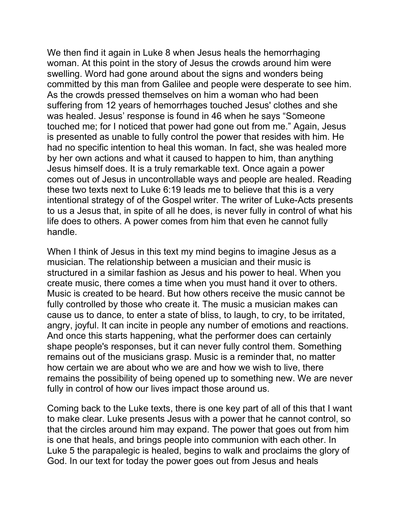We then find it again in Luke 8 when Jesus heals the hemorrhaging woman. At this point in the story of Jesus the crowds around him were swelling. Word had gone around about the signs and wonders being committed by this man from Galilee and people were desperate to see him. As the crowds pressed themselves on him a woman who had been suffering from 12 years of hemorrhages touched Jesus' clothes and she was healed. Jesus' response is found in 46 when he says "Someone touched me; for I noticed that power had gone out from me." Again, Jesus is presented as unable to fully control the power that resides with him. He had no specific intention to heal this woman. In fact, she was healed more by her own actions and what it caused to happen to him, than anything Jesus himself does. It is a truly remarkable text. Once again a power comes out of Jesus in uncontrollable ways and people are healed. Reading these two texts next to Luke 6:19 leads me to believe that this is a very intentional strategy of of the Gospel writer. The writer of Luke-Acts presents to us a Jesus that, in spite of all he does, is never fully in control of what his life does to others. A power comes from him that even he cannot fully handle.

When I think of Jesus in this text my mind begins to imagine Jesus as a musician. The relationship between a musician and their music is structured in a similar fashion as Jesus and his power to heal. When you create music, there comes a time when you must hand it over to others. Music is created to be heard. But how others receive the music cannot be fully controlled by those who create it. The music a musician makes can cause us to dance, to enter a state of bliss, to laugh, to cry, to be irritated, angry, joyful. It can incite in people any number of emotions and reactions. And once this starts happening, what the performer does can certainly shape people's responses, but it can never fully control them. Something remains out of the musicians grasp. Music is a reminder that, no matter how certain we are about who we are and how we wish to live, there remains the possibility of being opened up to something new. We are never fully in control of how our lives impact those around us.

Coming back to the Luke texts, there is one key part of all of this that I want to make clear. Luke presents Jesus with a power that he cannot control, so that the circles around him may expand. The power that goes out from him is one that heals, and brings people into communion with each other. In Luke 5 the parapalegic is healed, begins to walk and proclaims the glory of God. In our text for today the power goes out from Jesus and heals